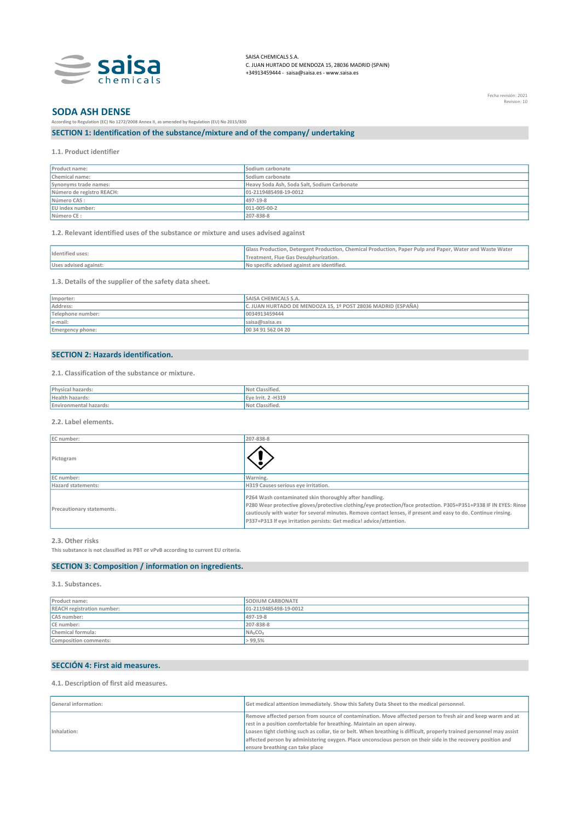

SAISA CHEMICALS S.A. C. JUAN HURTADO DE MENDOZA 15, 28036 MADRID (SPAIN) +34913459444 - saisa@saisa.es - www.saisa.es

Fecha revisión: 2021 Revision: 10

# SODA ASH DENSE

According to Regulation (EC) No 1272/2008 Annex II, as amended by Regulation (EU) No 2015/830 SECTION 1: Identification of the substance/mixture and of the company/ undertaking

1.1. Product identifier

| Product name:             | Sodium carbonate                            |
|---------------------------|---------------------------------------------|
| Chemical name:            | Sodium carbonate                            |
| Synonyms trade names:     | Heavy Soda Ash, Soda Salt, Sodium Carbonate |
| Número de registro REACH: | 01-2119485498-19-0012                       |
| Número CAS :              | 497-19-8                                    |
| EU index number:          | 011-005-00-2                                |
| Número CE:                | 207-838-8                                   |

1.2. Relevant identified uses of the substance or mixture and uses advised against

| Identified uses:      | Glass Production, Detergent Production, Chemical Production, Paper Pulp and Paper, Water and Waste Water |
|-----------------------|----------------------------------------------------------------------------------------------------------|
|                       | Treatment. Flue Gas Desulphurization.                                                                    |
| Uses advised against: | No specific advised against are identified.                                                              |

1.3. Details of the supplier of the safety data sheet.

| Importer:         | <b>SAISA CHEMICALS S.A.</b>                                  |
|-------------------|--------------------------------------------------------------|
| Address:          | C. JUAN HURTADO DE MENDOZA 15, 1º POST 28036 MADRID (ESPAÑA) |
| Telephone number: | 0034913459444                                                |
| le-mail:          | saisa@saisa.es                                               |
| Emergency phone:  | 00 34 91 562 04 20                                           |

#### SECTION 2: Hazards identification.

2.1. Classification of the substance or mixture.

| Dhye                      | $-$                   |
|---------------------------|-----------------------|
| Hoalth hazard<br>17.GI U. | $-H319$<br>Eve Irrit. |
| 11d 4d 1 US               | $-$<br>$-51112347$    |
|                           |                       |

2.2. Label elements.

| EC number:                | 207-838-8                                                                                                                                                                                                                                                                                                                                                           |
|---------------------------|---------------------------------------------------------------------------------------------------------------------------------------------------------------------------------------------------------------------------------------------------------------------------------------------------------------------------------------------------------------------|
| Pictogram                 |                                                                                                                                                                                                                                                                                                                                                                     |
| EC number:                | Warning.                                                                                                                                                                                                                                                                                                                                                            |
| Hazard statements:        | H319 Causes serious eye irritation.                                                                                                                                                                                                                                                                                                                                 |
| Precautionary statements. | P264 Wash contaminated skin thoroughly after handling.<br>P280 Wear protective gloves/protective clothing/eye protection/face protection. P305+P351+P338 IF IN EYES: Rinse<br>cautiously with water for several minutes. Remove contact lenses, if present and easy to do. Continue rinsing.<br>P337+P313 If eye irritation persists: Get medica! advice/attention. |

#### 2.3. Other risks

This substance is not classified as PBT or vPvB according to current EU criteria.

#### SECTION 3: Composition / information on ingredients.

3.1. Substances.

| Product name:                     | <b>SODIUM CARBONATE</b>         |
|-----------------------------------|---------------------------------|
| <b>REACH registration number:</b> | 01-2119485498-19-0012           |
| CAS number:                       | 497-19-8                        |
| CE number:                        | 207-838-8                       |
| Chemical formula:                 | NA <sub>2</sub> CO <sub>3</sub> |
| Composition comments:             | > 99,5%                         |

#### SECCIÓN 4: First aid measures.

4.1. Description of first aid measures.

| <b>General information:</b> | Get medical attention immediately. Show this Safety Data Sheet to the medical personnel.                              |
|-----------------------------|-----------------------------------------------------------------------------------------------------------------------|
| Inhalation:                 | Remove affected person from source of contamination. Move affected person to fresh air and keep warm and at           |
|                             | rest in a position comfortable for breathing. Maintain an open airway.                                                |
|                             | Loasen tight clothing such as collar, tie or belt. When breathing is difficult, properly trained personnel may assist |
|                             | affected person by administering oxygen. Place unconscious person on their side in the recovery position and          |
|                             | ensure breathing can take place                                                                                       |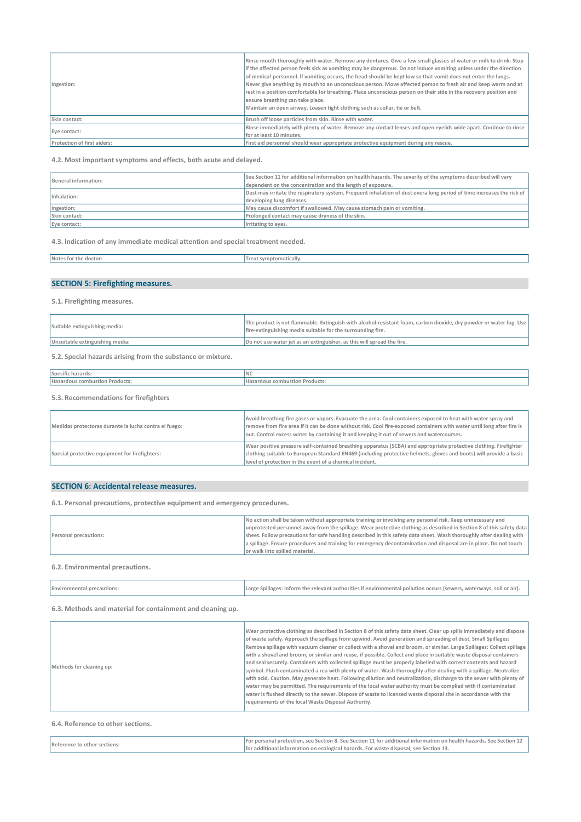| Ingestion:                  | Rinse mouth thoroughly with water. Remove any dentures. Give a few small glasses of water or milk to drink. Stop<br>if the affected person feels sick as vomiting may be dangerous. Do not induce vomiting unless under the direction<br>of medica! personnel. If vomiting occurs, the head should be kept low so that vomit does not enter the lungs.<br>Never give anything by mouth to an unconscious person. Move affected person to fresh air and keep warm and at<br>rest in a position comfortable for breathing. Place unconscious person on their side in the recovery position and<br>ensure breathing can take place.<br>Maintain an open airway. Loasen tight clothing such as collar, tie or belt. |
|-----------------------------|-----------------------------------------------------------------------------------------------------------------------------------------------------------------------------------------------------------------------------------------------------------------------------------------------------------------------------------------------------------------------------------------------------------------------------------------------------------------------------------------------------------------------------------------------------------------------------------------------------------------------------------------------------------------------------------------------------------------|
| Skin contact:               | Brush off loose particles from skin. Rinse with water.                                                                                                                                                                                                                                                                                                                                                                                                                                                                                                                                                                                                                                                          |
| Eve contact:                | Rinse immediately with plenty of water. Remove any contact lenses and open eyelids wide apart. Continue to rinse                                                                                                                                                                                                                                                                                                                                                                                                                                                                                                                                                                                                |
|                             | for at least 10 minutes.                                                                                                                                                                                                                                                                                                                                                                                                                                                                                                                                                                                                                                                                                        |
| Protection of first aiders: | First aid personnel should wear appropriate protective equipment during any rescue.                                                                                                                                                                                                                                                                                                                                                                                                                                                                                                                                                                                                                             |

4.2. Most important symptoms and effects, both acute and delayed.

| General information: | See Section 11 for additional information on health hazards. The severity of the symptoms described will vary         |
|----------------------|-----------------------------------------------------------------------------------------------------------------------|
|                      | dependent on the concentration and the length of exposure.                                                            |
| Inhalation:          | Dust may irritate the respiratory system. Frequent inhalation of dust overa long period of time increases the risk of |
|                      | developing lung diseases.                                                                                             |
| Ingestion:           | May cause discomfort if swallowed. May cause stomach pain or vomiting.                                                |
| Skin contact:        | Prolonged contact may cause dryness of the skin.                                                                      |
| Eye contact:         | Irritating to eyes.                                                                                                   |

4.3. lndication of any immediate medical attention and special treatment needed.

| Notes<br>: toi<br>≀ doctor.<br>. | symptomatically. |
|----------------------------------|------------------|
|                                  |                  |

# SECTION 5: Firefighting measures.

5.1. Firefighting measures.

| Suitable extinguishing media:   | The product is not flammable. Extinguish with alcohol-resistant foam, carbon dioxide, dry powder or water fog. Use<br>fire-extinguishing media suitable for the surrounding fire. |
|---------------------------------|-----------------------------------------------------------------------------------------------------------------------------------------------------------------------------------|
| Unsuitable extinguishing media: | Do not use water jet as an extinguisher, as this will spread the fire.                                                                                                            |

5.2. Special hazards arising from the substance or mixture.

| Specific hazards:                     | <b>INC</b>                                                                                                    |
|---------------------------------------|---------------------------------------------------------------------------------------------------------------|
| Hazardous combustion Products:        | Hazardous combustion Products:                                                                                |
| 5.3. Recommendations for firefighters |                                                                                                               |
|                                       | Avoid breathing fire gases or vapors. Evacuate the area. Cool containers exposed to heat with water spray and |

| Medidas protectoras durante la lucha contra el fuego: | It really acceptantly the Years at eastern measured the state and and acceptantly also and the there is the called a state and any<br>remove from fire area if it can be done without risk. Cool fire-exposed containers with water until long after fire is<br>out. Control excess water by containing it and keeping it out of sewers and watercourses. |
|-------------------------------------------------------|-----------------------------------------------------------------------------------------------------------------------------------------------------------------------------------------------------------------------------------------------------------------------------------------------------------------------------------------------------------|
| Special protective equipment for firefighters:        | Wear positive pressure self-contained breathing apparatus (SCBA) and appropriate protective clothing. Firefighter<br>clothing suitable to European Standard EN469 (including protective helmets, gloves and boots) will provide a basic                                                                                                                   |
|                                                       | level of protection in the event of a chemical incident.                                                                                                                                                                                                                                                                                                  |

# SECTION 6: Accidental release measures.

6.1. Personal precautions, protective equipment and emergency procedures.

| Personal precautions: | No action shall be taken without appropriate training or involving any personal risk. Keep unnecessary and           |
|-----------------------|----------------------------------------------------------------------------------------------------------------------|
|                       | unprotected personnel away from the spillage. Wear protective clothing as described in Section 8 of this safety data |
|                       | sheet. Follow precautions for safe handling described in this safety data sheet. Wash thoroughly after dealing with  |
|                       | a spillage. Ensure procedures and training for emergency decontamination and disposal are in place. Do not touch     |
|                       | lor walk into spilled material.                                                                                      |
|                       |                                                                                                                      |

#### 6.2. Environmental precautions.

| <b>Environmental precautions:</b> | Large Spillages: Inform the relevant authorities if environmental pollution occurs (sewers, waterways, soil or air). |
|-----------------------------------|----------------------------------------------------------------------------------------------------------------------|
|-----------------------------------|----------------------------------------------------------------------------------------------------------------------|

6.3. Methods and material for containment and cleaning up.

| Methods for cleaning up: | Wear protective clothing as described in Section 8 of this safety data sheet. Clear up spills immediately and dispose<br>of waste safely. Approach the spillage from upwind. Avoid generation and spreading of dust. Small Spillages:<br>Remove spillage with vacuum cleaner or collect with a shovel and broom, or similar. Large Spillages: Collect spillage<br>with a shovel and broom, or similar and reuse, if possible. Collect and place in suitable waste disposal containers<br>and seal securely. Containers with collected spillage must be properly labelled with correct contents and hazard<br>symbol. Flush contaminated a rea with plenty of water. Wash thoroughly after dealing with a spillage. Neutralize<br>with acid. Caution. May generate heat. Following dilution and neutralization, discharge to the sewer with plenty of<br>water may be permitted. The requirements of the local water authority must be complied with if contaminated<br>water is flushed directly to the sewer. Dispose of waste to licensed waste disposal site in accordance with the<br>requirements of the local Waste Disposal Authority. |
|--------------------------|-----------------------------------------------------------------------------------------------------------------------------------------------------------------------------------------------------------------------------------------------------------------------------------------------------------------------------------------------------------------------------------------------------------------------------------------------------------------------------------------------------------------------------------------------------------------------------------------------------------------------------------------------------------------------------------------------------------------------------------------------------------------------------------------------------------------------------------------------------------------------------------------------------------------------------------------------------------------------------------------------------------------------------------------------------------------------------------------------------------------------------------------------|
|--------------------------|-----------------------------------------------------------------------------------------------------------------------------------------------------------------------------------------------------------------------------------------------------------------------------------------------------------------------------------------------------------------------------------------------------------------------------------------------------------------------------------------------------------------------------------------------------------------------------------------------------------------------------------------------------------------------------------------------------------------------------------------------------------------------------------------------------------------------------------------------------------------------------------------------------------------------------------------------------------------------------------------------------------------------------------------------------------------------------------------------------------------------------------------------|

#### 6.4. Reference to other sections.

| Reference to other sections: | For personal protection, see Section 8, See Section 11 for additional information on health hazards, See Section 1 |
|------------------------------|--------------------------------------------------------------------------------------------------------------------|
|                              | l for<br>additional information on ecological hazards. For waste disposal, see Section 13,                         |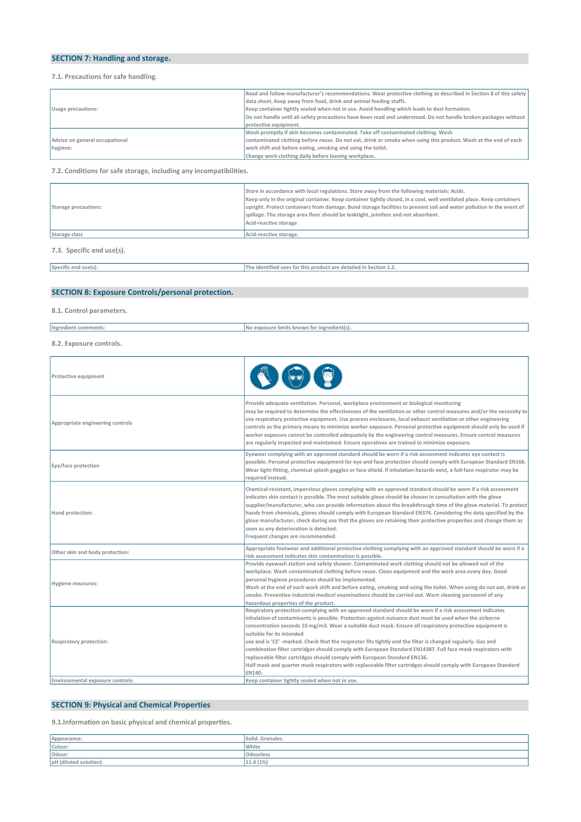# SECTION 7: Handling and storage.

#### 7.1. Precautions for safe handling.

|                                | Read and follow manufacturer's recommendations. Wear protective clothing as described in Section 8 of this safety |
|--------------------------------|-------------------------------------------------------------------------------------------------------------------|
| Usage precautions:             | data sheet. Keep away from food, drink and animal feeding stuffs.                                                 |
|                                | Keep container tightly sealed when not in use. Avoid handling which leads to dust formation.                      |
|                                | Do not handle until ali safety precautions have been read and understood. Do not handle broken packages without   |
|                                | protective equipment.                                                                                             |
|                                | Wash promptly if skin becomes contaminated. Take off contaminated clothing. Wash                                  |
| Advice on general occupational | contaminated clothing before reuse. Do not eat, drink or smoke when using this product. Wash at the end of each   |
| hygiene:                       | work shift and before eating, smoking and using the toilet.                                                       |
|                                | Change work clothing daily before leaving workplace.                                                              |

7.2. Conditions for safe storage, including any incompatibilities.

| Storage precautions:      | Store in accordance with local regulations. Store away from the following materials: Acids.<br>Keep only in the original container. Keep container tightly closed, in a cool, well ventilated place. Keep containers<br>upright. Protect containers from damage. Bund storage facilities to prevent soil and water pollution in the event of<br>spillage. The storage area floor should be leaktight, jointless and not absorbent.<br>Acid-reactive storage |
|---------------------------|-------------------------------------------------------------------------------------------------------------------------------------------------------------------------------------------------------------------------------------------------------------------------------------------------------------------------------------------------------------------------------------------------------------------------------------------------------------|
| Storage class             | Acid-reactive storage.                                                                                                                                                                                                                                                                                                                                                                                                                                      |
| 7.3. Specific end use(s). |                                                                                                                                                                                                                                                                                                                                                                                                                                                             |

Specific end use(s): The identified uses far this product are detailed in Section 1.2.

# SECTION 8: Exposure Controls/personal protection.

8.1. Control parameters.

| Ingredient comments:    | No exposure limits known for ingredient(s). |
|-------------------------|---------------------------------------------|
| 8.2. Exposure controls. |                                             |

| Protective equipment             |                                                                                                                                                                                                                                                                                                                                                                                                                                                                                                                                                                                                                                                                                                                                                                                                       |
|----------------------------------|-------------------------------------------------------------------------------------------------------------------------------------------------------------------------------------------------------------------------------------------------------------------------------------------------------------------------------------------------------------------------------------------------------------------------------------------------------------------------------------------------------------------------------------------------------------------------------------------------------------------------------------------------------------------------------------------------------------------------------------------------------------------------------------------------------|
| Appropriate engineering controls | Provide adequate ventilation. Personal, workplace environment or biological monitoring<br>may be required to determine the effectiveness of the ventilation or other control measures and/or the necessity to<br>use respiratory protective equipment. Use process enclosures, local exhaust ventilation or other engineering<br>controls as the primary means to minimize worker exposure. Personal protective equipment should only be used if<br>worker exposure cannot be controlled adequately by the engineering control measures. Ensure control measures<br>are regularly inspected and maintained. Ensure operatives are trained to minimize exposure.                                                                                                                                       |
| Eye/face protection              | Eyewear complying with an approved standard should be worn if a risk assessment indicates eye contact is<br>possible. Personal protective equipment far eye and face protection should comply with European Standard EN166.<br>Wear tight-fitting, chemical splash goggles or face shield. If inhalation hazards exist, a full-face respirator may be<br>required instead.                                                                                                                                                                                                                                                                                                                                                                                                                            |
| Hand protection:                 | Chemical-resistant, impervious gloves complying with an approved standard should be worn if a risk assessment<br>indicates skin contact is possible. The most suitable glove should be chosen in consultation with the glove<br>supplier/manufacturer, who can provide information about the breakthrough time of the glove material. To protect<br>hands from chemicals, gloves should comply with European Standard EN374. Considering the data specified by the<br>glove manufacturer, check during use that the gloves are retaining their protective properties and change them as<br>soon as any deterioration is detected.<br>Frequent changes are recommended.                                                                                                                                |
| Other skin and body protection:  | Appropriate footwear and additional protective clothing complying with an approved standard should be worn if a<br>risk assessment indicates skin contamination is possible.                                                                                                                                                                                                                                                                                                                                                                                                                                                                                                                                                                                                                          |
| <b>Hygiene measures:</b>         | Provide eyewash station and safety shower. Contaminated work clothing should not be allowed out of the<br>workplace. Wash contaminated clothing before reuse. Clean equipment and the work area every day. Good<br>personal hygiene procedures should be implemented.<br>Wash at the end of each work shift and before eating, smoking and using the toilet. When using do not eat, drink or<br>smoke. Preventive industrial medica! examinations should be carried out. Warn cleaning personnel of any<br>hazardous properties of the product.                                                                                                                                                                                                                                                       |
| <b>Respiratory protection:</b>   | Respiratory protection complying with an approved standard should be worn if a risk assessment indicates<br>inhalation of contaminants is possible. Protection against nuisance dust must be used when the airborne<br>concentration exceeds 10 mg/m3. Wear a suitable dust mask. Ensure all respiratory protective equipment is<br>suitable for its intended<br>use and is 'CE' -marked. Check that the respirator fits tightly and the filter is changed regularly. Gas and<br>combination filter cartridges should comply with European Standard EN14387. Full face mask respirators with<br>replaceable filter cartridges should comply with European Standard EN136.<br>Half mask and quarter mask respirators with replaceable filter cartridges should comply with European Standard<br>EN140. |
| Environmental exposure controls: | Keep container tightly sealed when not in use.                                                                                                                                                                                                                                                                                                                                                                                                                                                                                                                                                                                                                                                                                                                                                        |

# SECTION 9: Physical and Chemical Properties

9.1. Information on basic physical and chemical properties.

| Appearance:            | Solid, Granules. |
|------------------------|------------------|
| Colour:                | White            |
| Odour:                 | Odourless        |
| pH (diluted solution): | 11.4 (1%)        |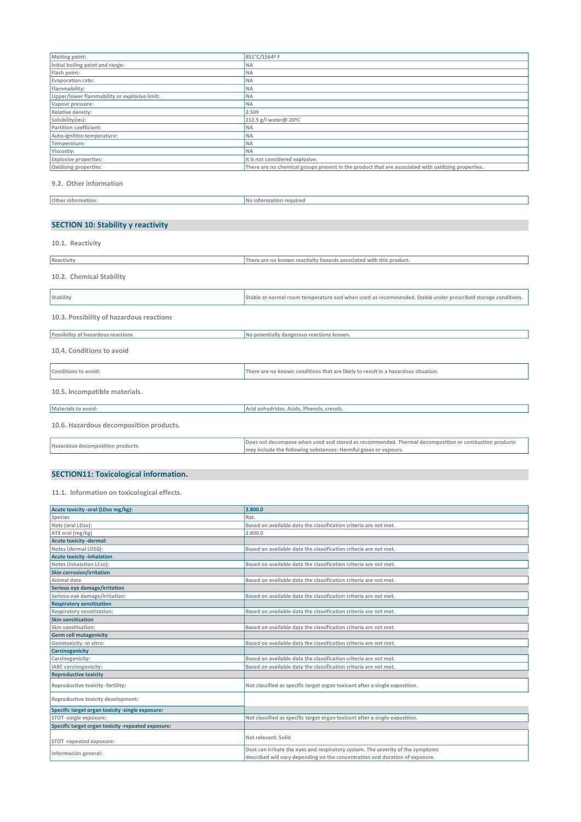| Melting point:                               | 851°C/1564º F                                                                                      |
|----------------------------------------------|----------------------------------------------------------------------------------------------------|
| Initial boiling point and range:             | <b>NA</b>                                                                                          |
| Flash point:                                 | <b>NA</b>                                                                                          |
| Evaporation rate:                            | <b>NA</b>                                                                                          |
| Flammability:                                | <b>NA</b>                                                                                          |
| Upper/lower flammability or explosive limit: | <b>NA</b>                                                                                          |
| Vapour pressure:                             | <b>NA</b>                                                                                          |
| Relative density:                            | 2.509                                                                                              |
| Solubility(ies):                             | 212.5 g/l water@ 20°C                                                                              |
| Partition coefficient:                       | <b>NA</b>                                                                                          |
| Auto-ignition temperature:                   | <b>NA</b>                                                                                          |
| Temperature:                                 | <b>NA</b>                                                                                          |
| Viscosity:                                   | <b>NA</b>                                                                                          |
| <b>Explosive properties:</b>                 | It is not considered explosive.                                                                    |
| Oxidising properties:                        | There are no chemical groups present in the product that are associated with oxidizing properties. |
|                                              |                                                                                                    |

9.2. Other information

| Other information: | INo information required |
|--------------------|--------------------------|
|                    |                          |

# SECTION 10: Stability y reactivity

| 10.1. Reactivity                         |                                                                                                                                                                         |
|------------------------------------------|-------------------------------------------------------------------------------------------------------------------------------------------------------------------------|
| Reactivity                               | There are no known reactivity hazards associated with this product.                                                                                                     |
| 10.2. Chemical Stability                 |                                                                                                                                                                         |
| Stability                                | Stable at normal room temperature and when used as recommended. Stable under prescribed storage conditions.                                                             |
| 10.3. Possibility of hazardous reactions |                                                                                                                                                                         |
| Possibility of hazardous reactions       | No potentially dangerous reactions known.                                                                                                                               |
| 10.4. Conditions to avoid                |                                                                                                                                                                         |
| Conditions to avoid:                     | There are no known conditions that are likely to result in a hazardous situation.                                                                                       |
| 10.5. Incompatible materials.            |                                                                                                                                                                         |
| Materials to avoid:                      | Acid anhydrides. Acids. Phenols, cresols.                                                                                                                               |
| 10.6. Hazardous decomposition products.  |                                                                                                                                                                         |
| Hazardous decomposition products.        | Does not decompose when used and stored as recommended. Thermal decomposition or combustion products<br>may include the following substances: Harmful gases or vapours. |

# SECTION11: Toxicological information.

11.1. lnformation on toxicological effects.

| 2.800.0                                                                                                                                                         |
|-----------------------------------------------------------------------------------------------------------------------------------------------------------------|
| Rat.                                                                                                                                                            |
| Based on available data the classification criteria are not met.                                                                                                |
| 2.800.0                                                                                                                                                         |
|                                                                                                                                                                 |
| Based on available data the classification criteria are not met.                                                                                                |
|                                                                                                                                                                 |
| Based on available data the classification criteria are not met.                                                                                                |
|                                                                                                                                                                 |
| Based on available data the classification criteria are not met.                                                                                                |
|                                                                                                                                                                 |
| Based on available data the classification criteria are not met.                                                                                                |
|                                                                                                                                                                 |
| Based on available data the classification criteria are not met.                                                                                                |
|                                                                                                                                                                 |
| Based on available data the classification criteria are not met.                                                                                                |
|                                                                                                                                                                 |
| Based on available data the classification criteria are not met.                                                                                                |
|                                                                                                                                                                 |
| Based on available data the classification criteria are not met.                                                                                                |
| Based on available data the classification criteria are not met.                                                                                                |
|                                                                                                                                                                 |
| Not classified as specific target organ toxicant after a single exposition.                                                                                     |
|                                                                                                                                                                 |
|                                                                                                                                                                 |
| Not classified as specific target organ toxicant after a single exposition.                                                                                     |
|                                                                                                                                                                 |
| Not relevant. Solid                                                                                                                                             |
| Dust can irritate the eyes and respiratory system. The severity of the symptoms<br>described will vary depending on the concentration and duration of exposure. |
|                                                                                                                                                                 |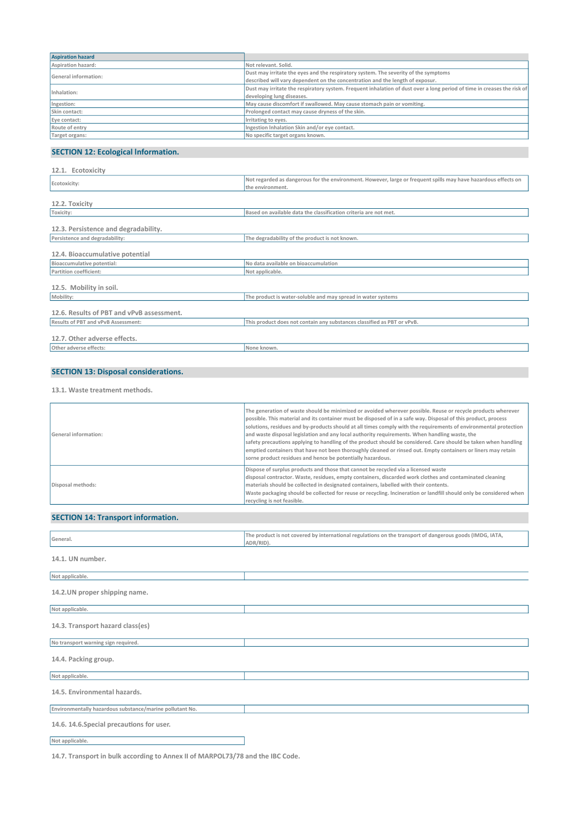| <b>Aspiration hazard</b> |                                                                                                                         |
|--------------------------|-------------------------------------------------------------------------------------------------------------------------|
| Aspiration hazard:       | Not relevant, Solid.                                                                                                    |
| General information:     | Dust may irritate the eyes and the respiratory system. The severity of the symptoms                                     |
|                          | described will vary dependent on the concentration and the length of exposur.                                           |
| Inhalation:              | Dust may irritate the respiratory system. Frequent inhalation of dust over a long period of time in creases the risk of |
|                          | developing lung diseases.                                                                                               |
| Ingestion:               | May cause discomfort if swallowed. May cause stomach pain or vomiting.                                                  |
| Skin contact:            | Prolonged contact may cause dryness of the skin.                                                                        |
| Eye contact:             | Irritating to eyes.                                                                                                     |
| Route of entry           | Ingestion Inhalation Skin and/or eye contact.                                                                           |
| Target organs:           | No specific target organs known.                                                                                        |

# SECTION 12: Ecological lnformation.

| 12.1. Ecotoxicity                         |                                                                                                                |
|-------------------------------------------|----------------------------------------------------------------------------------------------------------------|
| Ecotoxicity:                              | Not regarded as dangerous for the environment. However, large or frequent spills may have hazardous effects on |
|                                           | the environment.                                                                                               |
| 12.2. Toxicity                            |                                                                                                                |
| Toxicity:                                 | Based on available data the classification criteria are not met.                                               |
| 12.3. Persistence and degradability.      |                                                                                                                |
| Persistence and degradability:            | The degradability of the product is not known.                                                                 |
| 12.4. Bioaccumulative potential           |                                                                                                                |
| Bioaccumulative potential:                | No data available on bioaccumulation                                                                           |
| Partition coefficient:                    | Not applicable.                                                                                                |
| 12.5. Mobility in soil.                   |                                                                                                                |
| Mobility:                                 | The product is water-soluble and may spread in water systems                                                   |
| 12.6. Results of PBT and vPvB assessment. |                                                                                                                |
| Results of PBT and vPvB Assessment:       | This product does not contain any substances classified as PBT or vPvB.                                        |
| 12.7. Other adverse effects.              |                                                                                                                |
| Other adverse effects:                    | None known.                                                                                                    |

# SECTION 13: Disposal considerations.

13.1. Waste treatment methods.

| <b>General information:</b> | The generation of waste should be minimized or avoided wherever possible. Reuse or recycle products wherever<br>possible. This material and its container must be disposed of in a safe way. Disposal of this product, process<br>solutions, residues and by-products should at all times comply with the requirements of environmental protection<br>and waste disposal legislation and any local authority requirements. When handling waste, the<br>safety precautions applying to handling of the product should be considered. Care should be taken when handling<br>emptied containers that have not been thoroughly cleaned or rinsed out. Empty containers or liners may retain<br>sorne product residues and hence be potentially hazardous. |
|-----------------------------|-------------------------------------------------------------------------------------------------------------------------------------------------------------------------------------------------------------------------------------------------------------------------------------------------------------------------------------------------------------------------------------------------------------------------------------------------------------------------------------------------------------------------------------------------------------------------------------------------------------------------------------------------------------------------------------------------------------------------------------------------------|
| Disposal methods:           | Dispose of surplus products and those that cannot be recycled via a licensed waste<br>disposal contractor. Waste, residues, empty containers, discarded work clothes and contaminated cleaning<br>materials should be collected in designated containers, labelled with their contents.<br>Waste packaging should be collected for reuse or recycling. Incineration or landfill should only be considered when<br>recycling is not feasible.                                                                                                                                                                                                                                                                                                          |

### SECTION 14: Transport information.

| General.                                                 | The product is not covered by international regulations on the transport of dangerous goods (IMDG, IATA,<br>ADR/RID). |
|----------------------------------------------------------|-----------------------------------------------------------------------------------------------------------------------|
| 14.1. UN number.                                         |                                                                                                                       |
| Not applicable.                                          |                                                                                                                       |
| 14.2. UN proper shipping name.                           |                                                                                                                       |
| Not applicable.                                          |                                                                                                                       |
| 14.3. Transport hazard class(es)                         |                                                                                                                       |
| No transport warning sign required.                      |                                                                                                                       |
| 14.4. Packing group.                                     |                                                                                                                       |
| Not applicable.                                          |                                                                                                                       |
| 14.5. Environmental hazards.                             |                                                                                                                       |
| Environmentally hazardous substance/marine pollutant No. |                                                                                                                       |
| 14.6. 14.6. Special precautions for user.                |                                                                                                                       |
| Not applicable.                                          |                                                                                                                       |

14.7. Transport in bulk according to Annex II of MARPOL73/78 and the IBC Code.